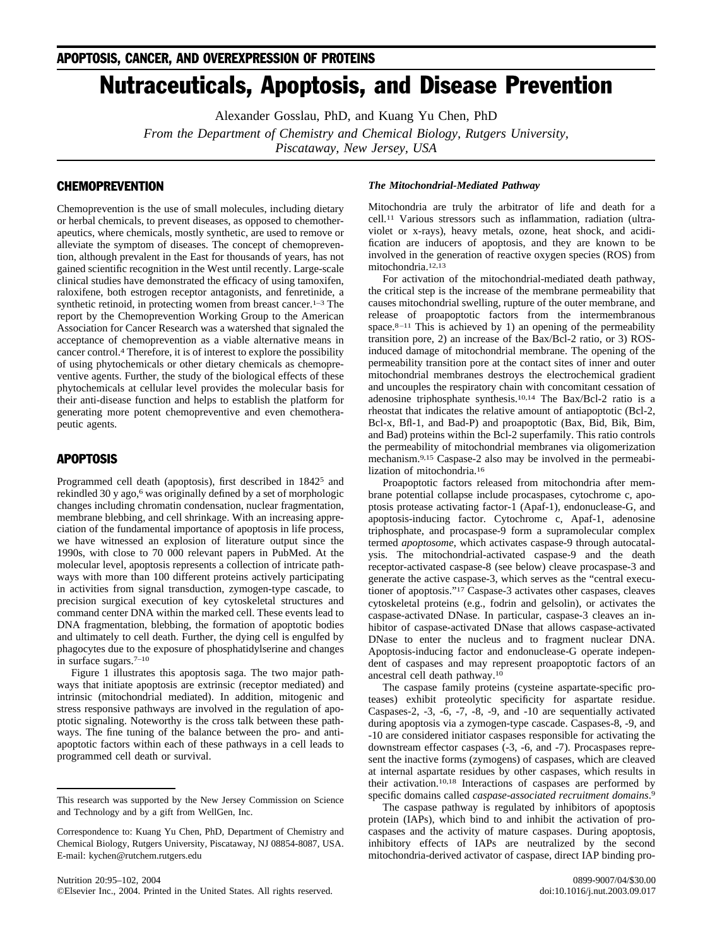# Nutraceuticals, Apoptosis, and Disease Prevention

Alexander Gosslau, PhD, and Kuang Yu Chen, PhD

*From the Department of Chemistry and Chemical Biology, Rutgers University,*

*Piscataway, New Jersey, USA*

# **CHEMOPREVENTION**

Chemoprevention is the use of small molecules, including dietary or herbal chemicals, to prevent diseases, as opposed to chemotherapeutics, where chemicals, mostly synthetic, are used to remove or alleviate the symptom of diseases. The concept of chemoprevention, although prevalent in the East for thousands of years, has not gained scientific recognition in the West until recently. Large-scale clinical studies have demonstrated the efficacy of using tamoxifen, raloxifene, both estrogen receptor antagonists, and fenretinide, a synthetic retinoid, in protecting women from breast cancer.<sup>1–3</sup> The report by the Chemoprevention Working Group to the American Association for Cancer Research was a watershed that signaled the acceptance of chemoprevention as a viable alternative means in cancer control[.4](#page-4-0) Therefore, it is of interest to explore the possibility of using phytochemicals or other dietary chemicals as chemopreventive agents. Further, the study of the biological effects of these phytochemicals at cellular level provides the molecular basis for their anti-disease function and helps to establish the platform for generating more potent chemopreventive and even chemotherapeutic agents.

## APOPTOSIS

Programmed cell death (apoptosis), first described in 1842<sup>5</sup> and rekindled 30 y ago,<sup>6</sup> was originally defined by a set of morphologic changes including chromatin condensation, nuclear fragmentation, membrane blebbing, and cell shrinkage. With an increasing appreciation of the fundamental importance of apoptosis in life process, we have witnessed an explosion of literature output since the 1990s, with close to 70 000 relevant papers in PubMed. At the molecular level, apoptosis represents a collection of intricate pathways with more than 100 different proteins actively participating in activities from signal transduction, zymogen-type cascade, to precision surgical execution of key cytoskeletal structures and command center DNA within the marked cell. These events lead to DNA fragmentation, blebbing, the formation of apoptotic bodies and ultimately to cell death. Further, the dying cell is engulfed by phagocytes due to the exposure of phosphatidylserine and changes in surface sugars[.7–10](#page-4-0)

[Figure 1](#page-1-0) illustrates this apoptosis saga. The two major pathways that initiate apoptosis are extrinsic (receptor mediated) and intrinsic (mitochondrial mediated). In addition, mitogenic and stress responsive pathways are involved in the regulation of apoptotic signaling. Noteworthy is the cross talk between these pathways. The fine tuning of the balance between the pro- and antiapoptotic factors within each of these pathways in a cell leads to programmed cell death or survival.

## *The Mitochondrial-Mediated Pathway*

Mitochondria are truly the arbitrator of life and death for a cell[.11](#page-5-0) Various stressors such as inflammation, radiation (ultraviolet or x-rays), heavy metals, ozone, heat shock, and acidification are inducers of apoptosis, and they are known to be involved in the generation of reactive oxygen species (ROS) from mitochondria[.12,13](#page-5-0)

For activation of the mitochondrial-mediated death pathway, the critical step is the increase of the membrane permeability that causes mitochondrial swelling, rupture of the outer membrane, and release of proapoptotic factors from the intermembranous space. $8-11$  This is achieved by 1) an opening of the permeability transition pore, 2) an increase of the Bax/Bcl-2 ratio, or 3) ROSinduced damage of mitochondrial membrane. The opening of the permeability transition pore at the contact sites of inner and outer mitochondrial membranes destroys the electrochemical gradient and uncouples the respiratory chain with concomitant cessation of adenosine triphosphate synthesis[.10,14](#page-4-0) The Bax/Bcl-2 ratio is a rheostat that indicates the relative amount of antiapoptotic (Bcl-2, Bcl-x, Bfl-1, and Bad-P) and proapoptotic (Bax, Bid, Bik, Bim, and Bad) proteins within the Bcl-2 superfamily. This ratio controls the permeability of mitochondrial membranes via oligomerization mechanism[.9,15](#page-4-0) Caspase-2 also may be involved in the permeabilization of mitochondria[.16](#page-5-0)

Proapoptotic factors released from mitochondria after membrane potential collapse include procaspases, cytochrome c, apoptosis protease activating factor-1 (Apaf-1), endonuclease-G, and apoptosis-inducing factor. Cytochrome c, Apaf-1, adenosine triphosphate, and procaspase-9 form a supramolecular complex termed *apoptosome*, which activates caspase-9 through autocatalysis. The mitochondrial-activated caspase-9 and the death receptor-activated caspase-8 (see below) cleave procaspase-3 and generate the active caspase-3, which serves as the "central executioner of apoptosis.["17](#page-5-0) Caspase-3 activates other caspases, cleaves cytoskeletal proteins (e.g., fodrin and gelsolin), or activates the caspase-activated DNase. In particular, caspase-3 cleaves an inhibitor of caspase-activated DNase that allows caspase-activated DNase to enter the nucleus and to fragment nuclear DNA. Apoptosis-inducing factor and endonuclease-G operate independent of caspases and may represent proapoptotic factors of an ancestral cell death pathway[.10](#page-4-0)

The caspase family proteins (cysteine aspartate-specific proteases) exhibit proteolytic specificity for aspartate residue. Caspases-2, -3, -6, -7, -8, -9, and -10 are sequentially activated during apoptosis via a zymogen-type cascade. Caspases-8, -9, and -10 are considered initiator caspases responsible for activating the downstream effector caspases (-3, -6, and -7). Procaspases represent the inactive forms (zymogens) of caspases, which are cleaved at internal aspartate residues by other caspases, which results in their activation[.10,18](#page-4-0) Interactions of caspases are performed by specific domains called *caspase-associated recruitment domains*. [9](#page-4-0)

The caspase pathway is regulated by inhibitors of apoptosis protein (IAPs), which bind to and inhibit the activation of procaspases and the activity of mature caspases. During apoptosis, inhibitory effects of IAPs are neutralized by the second mitochondria-derived activator of caspase, direct IAP binding pro-

This research was supported by the New Jersey Commission on Science and Technology and by a gift from WellGen, Inc.

Correspondence to: Kuang Yu Chen, PhD, Department of Chemistry and Chemical Biology, Rutgers University, Piscataway, NJ 08854-8087, USA. E-mail: kychen@rutchem.rutgers.edu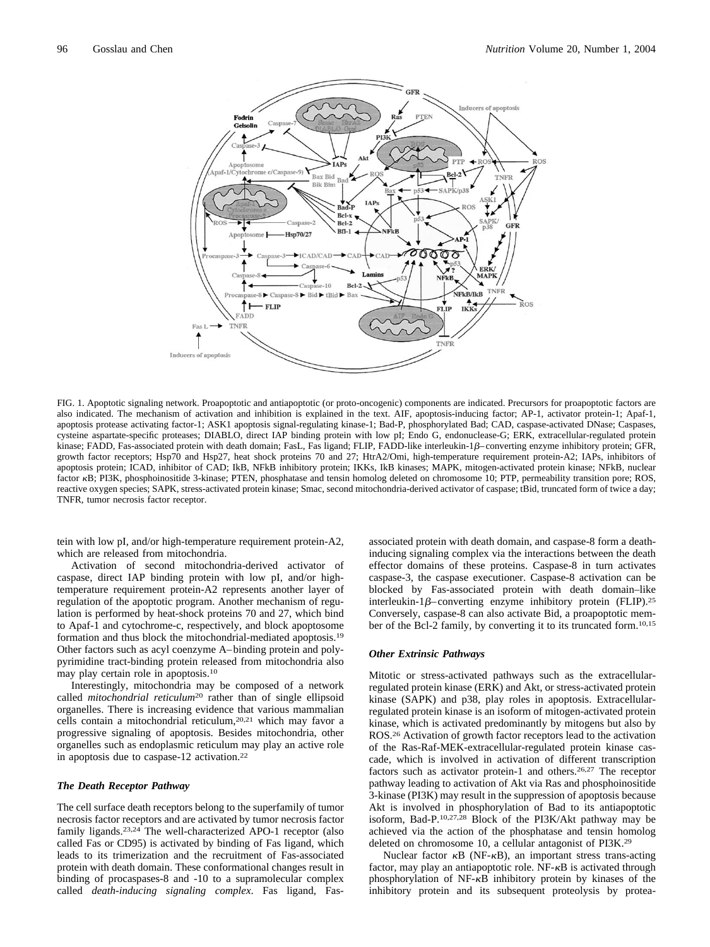<span id="page-1-0"></span>

FIG. 1. Apoptotic signaling network. Proapoptotic and antiapoptotic (or proto-oncogenic) components are indicated. Precursors for proapoptotic factors are also indicated. The mechanism of activation and inhibition is explained in the text. AIF, apoptosis-inducing factor; AP-1, activator protein-1; Apaf-1, apoptosis protease activating factor-1; ASK1 apoptosis signal-regulating kinase-1; Bad-P, phosphorylated Bad; CAD, caspase-activated DNase; Caspases, cysteine aspartate-specific proteases; DIABLO, direct IAP binding protein with low pI; Endo G, endonuclease-G; ERK, extracellular-regulated protein kinase; FADD, Fas-associated protein with death domain; FasL, Fas ligand; FLIP, FADD-like interleukin-1 $\beta$ –converting enzyme inhibitory protein; GFR, growth factor receptors; Hsp70 and Hsp27, heat shock proteins 70 and 27; HtrA2/Omi, high-temperature requirement protein-A2; IAPs, inhibitors of apoptosis protein; ICAD, inhibitor of CAD; IkB, NFkB inhibitory protein; IKKs, IkB kinases; MAPK, mitogen-activated protein kinase; NFkB, nuclear factor  $\kappa$ B; PI3K, phosphoinositide 3-kinase; PTEN, phosphatase and tensin homolog deleted on chromosome 10; PTP, permeability transition pore; ROS, reactive oxygen species; SAPK, stress-activated protein kinase; Smac, second mitochondria-derived activator of caspase; tBid, truncated form of twice a day; TNFR, tumor necrosis factor receptor.

tein with low pI, and/or high-temperature requirement protein-A2, which are released from mitochondria.

Activation of second mitochondria-derived activator of caspase, direct IAP binding protein with low pI, and/or hightemperature requirement protein-A2 represents another layer of regulation of the apoptotic program. Another mechanism of regulation is performed by heat-shock proteins 70 and 27, which bind to Apaf-1 and cytochrome-c, respectively, and block apoptosome formation and thus block the mitochondrial-mediated apoptosis[.19](#page-5-0) Other factors such as acyl coenzyme A–binding protein and polypyrimidine tract-binding protein released from mitochondria also may play certain role in apoptosis[.10](#page-4-0)

Interestingly, mitochondria may be composed of a network called *mitochondrial reticulum*[20](#page-5-0) rather than of single ellipsoid organelles. There is increasing evidence that various mammalian cells contain a mitochondrial reticulum[,20,21](#page-5-0) which may favor a progressive signaling of apoptosis. Besides mitochondria, other organelles such as endoplasmic reticulum may play an active role in apoptosis due to caspase-12 activation[.22](#page-5-0)

## *The Death Receptor Pathway*

The cell surface death receptors belong to the superfamily of tumor necrosis factor receptors and are activated by tumor necrosis factor family ligands.<sup>23,24</sup> The well-characterized APO-1 receptor (also called Fas or CD95) is activated by binding of Fas ligand, which leads to its trimerization and the recruitment of Fas-associated protein with death domain. These conformational changes result in binding of procaspases-8 and -10 to a supramolecular complex called *death-inducing signaling complex*. Fas ligand, Fasassociated protein with death domain, and caspase-8 form a deathinducing signaling complex via the interactions between the death effector domains of these proteins. Caspase-8 in turn activates caspase-3, the caspase executioner. Caspase-8 activation can be blocked by Fas-associated protein with death domain–like interleukin-1 $\beta$ –converting enzyme inhibitory protein (FLIP).<sup>25</sup> Conversely, caspase-8 can also activate Bid, a proapoptotic member of the Bcl-2 family, by converting it to its truncated form[.10,15](#page-4-0)

### *Other Extrinsic Pathways*

Mitotic or stress-activated pathways such as the extracellularregulated protein kinase (ERK) and Akt, or stress-activated protein kinase (SAPK) and p38, play roles in apoptosis. Extracellularregulated protein kinase is an isoform of mitogen-activated protein kinase, which is activated predominantly by mitogens but also by ROS[.26](#page-5-0) Activation of growth factor receptors lead to the activation of the Ras-Raf-MEK-extracellular-regulated protein kinase cascade, which is involved in activation of different transcription factors such as activator protein-1 and others[.26,27](#page-5-0) The receptor pathway leading to activation of Akt via Ras and phosphoinositide 3-kinase (PI3K) may result in the suppression of apoptosis because Akt is involved in phosphorylation of Bad to its antiapoptotic isoform, Bad-P[.10,27,28](#page-4-0) Block of the PI3K/Akt pathway may be achieved via the action of the phosphatase and tensin homolog deleted on chromosome 10, a cellular antagonist of PI3K[.29](#page-5-0)

Nuclear factor  $\kappa$ B (NF- $\kappa$ B), an important stress trans-acting factor, may play an antiapoptotic role.  $NF - \kappa B$  is activated through phosphorylation of NF-<sub>K</sub>B inhibitory protein by kinases of the inhibitory protein and its subsequent proteolysis by protea-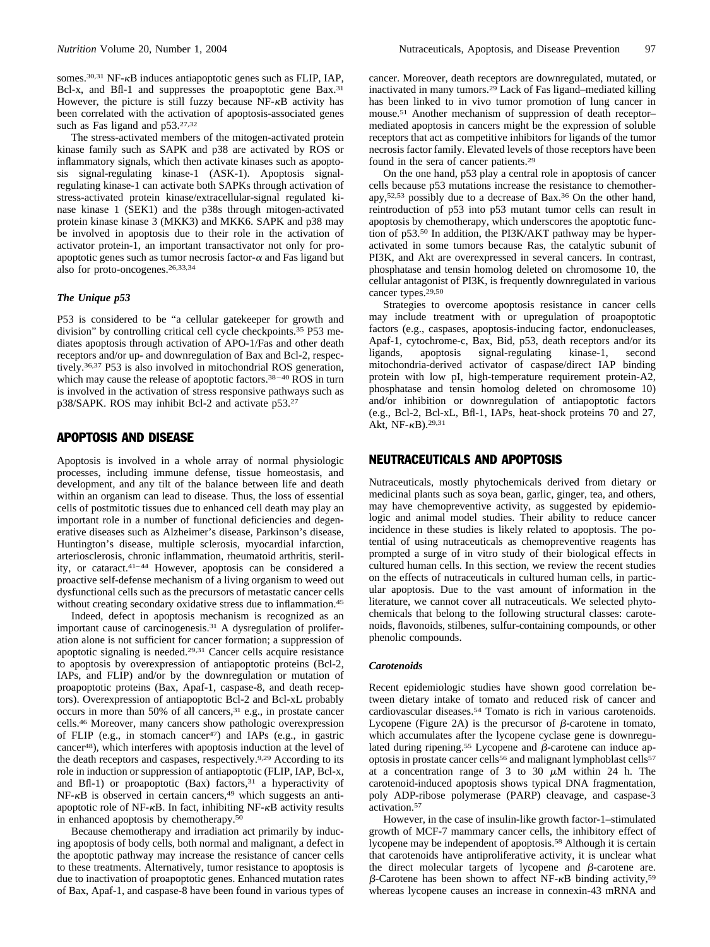somes.<sup>30,31</sup> NF- $\kappa$ B induces antiapoptotic genes such as FLIP, IAP, Bcl-x, and Bfl-1 and suppresses the proapoptotic gene Bax.<sup>31</sup> However, the picture is still fuzzy because NF- $\kappa$ B activity has been correlated with the activation of apoptosis-associated genes such as Fas ligand and p53[.27,32](#page-5-0)

The stress-activated members of the mitogen-activated protein kinase family such as SAPK and p38 are activated by ROS or inflammatory signals, which then activate kinases such as apoptosis signal-regulating kinase-1 (ASK-1). Apoptosis signalregulating kinase-1 can activate both SAPKs through activation of stress-activated protein kinase/extracellular-signal regulated kinase kinase 1 (SEK1) and the p38s through mitogen-activated protein kinase kinase 3 (MKK3) and MKK6. SAPK and p38 may be involved in apoptosis due to their role in the activation of activator protein-1, an important transactivator not only for proapoptotic genes such as tumor necrosis factor- $\alpha$  and Fas ligand but also for proto-oncogenes[.26,33,34](#page-5-0)

## *The Unique p53*

P53 is considered to be "a cellular gatekeeper for growth and division" by controlling critical cell cycle checkpoints[.35](#page-5-0) P53 mediates apoptosis through activation of APO-1/Fas and other death receptors and/or up- and downregulation of Bax and Bcl-2, respectively[.36,37](#page-5-0) P53 is also involved in mitochondrial ROS generation, which may cause the release of apoptotic factors.<sup>38-40</sup> ROS in turn is involved in the activation of stress responsive pathways such as p38/SAPK. ROS may inhibit Bcl-2 and activate p53[.27](#page-5-0)

## APOPTOSIS AND DISEASE

Apoptosis is involved in a whole array of normal physiologic processes, including immune defense, tissue homeostasis, and development, and any tilt of the balance between life and death within an organism can lead to disease. Thus, the loss of essential cells of postmitotic tissues due to enhanced cell death may play an important role in a number of functional deficiencies and degenerative diseases such as Alzheimer's disease, Parkinson's disease, Huntington's disease, multiple sclerosis, myocardial infarction, arteriosclerosis, chronic inflammation, rheumatoid arthritis, sterility, or cataract[.41–44](#page-5-0) However, apoptosis can be considered a proactive self-defense mechanism of a living organism to weed out dysfunctional cells such as the precursors of metastatic cancer cells without creating secondary oxidative stress due to inflammation.<sup>45</sup>

Indeed, defect in apoptosis mechanism is recognized as an important cause of carcinogenesis[.31](#page-5-0) A dysregulation of proliferation alone is not sufficient for cancer formation; a suppression of apoptotic signaling is needed[.29,31](#page-5-0) Cancer cells acquire resistance to apoptosis by overexpression of antiapoptotic proteins (Bcl-2, IAPs, and FLIP) and/or by the downregulation or mutation of proapoptotic proteins (Bax, Apaf-1, caspase-8, and death receptors). Overexpression of antiapoptotic Bcl-2 and Bcl-xL probably occurs in more than 50% of all cancers,<sup>31</sup> e.g., in prostate cancer cells[.46](#page-5-0) Moreover, many cancers show pathologic overexpression of FLIP (e.g., in stomach cancer<sup>47</sup>) and IAPs (e.g., in gastric cance[r48\)](#page-5-0), which interferes with apoptosis induction at the level of the death receptors and caspases, respectively[.9,29](#page-4-0) According to its role in induction or suppression of antiapoptotic (FLIP, IAP, Bcl-x, and Bfl-1) or proapoptotic  $(Bax)$  factors,<sup>31</sup> a hyperactivity of  $NF-\kappa B$  is observed in certain cancers,<sup>49</sup> which suggests an antiapoptotic role of NF- $\kappa$ B. In fact, inhibiting NF- $\kappa$ B activity results in enhanced apoptosis by chemotherapy[.50](#page-5-0)

Because chemotherapy and irradiation act primarily by inducing apoptosis of body cells, both normal and malignant, a defect in the apoptotic pathway may increase the resistance of cancer cells to these treatments. Alternatively, tumor resistance to apoptosis is due to inactivation of proapoptotic genes. Enhanced mutation rates of Bax, Apaf-1, and caspase-8 have been found in various types of cancer. Moreover, death receptors are downregulated, mutated, or inactivated in many tumors[.29](#page-5-0) Lack of Fas ligand–mediated killing has been linked to in vivo tumor promotion of lung cancer in mouse[.51](#page-5-0) Another mechanism of suppression of death receptor– mediated apoptosis in cancers might be the expression of soluble receptors that act as competitive inhibitors for ligands of the tumor necrosis factor family. Elevated levels of those receptors have been found in the sera of cancer patients[.29](#page-5-0)

On the one hand, p53 play a central role in apoptosis of cancer cells because p53 mutations increase the resistance to chemotherapy[,52,53](#page-5-0) possibly due to a decrease of Bax[.36](#page-5-0) On the other hand, reintroduction of p53 into p53 mutant tumor cells can result in apoptosis by chemotherapy, which underscores the apoptotic function of p53[.50](#page-5-0) In addition, the PI3K/AKT pathway may be hyperactivated in some tumors because Ras, the catalytic subunit of PI3K, and Akt are overexpressed in several cancers. In contrast, phosphatase and tensin homolog deleted on chromosome 10, the cellular antagonist of PI3K, is frequently downregulated in various cancer types.<sup>29,50</sup>

Strategies to overcome apoptosis resistance in cancer cells may include treatment with or upregulation of proapoptotic factors (e.g., caspases, apoptosis-inducing factor, endonucleases, Apaf-1, cytochrome-c, Bax, Bid, p53, death receptors and/or its ligands, apoptosis signal-regulating kinase-1, second mitochondria-derived activator of caspase/direct IAP binding protein with low pI, high-temperature requirement protein-A2, phosphatase and tensin homolog deleted on chromosome 10) and/or inhibition or downregulation of antiapoptotic factors (e.g., Bcl-2, Bcl-xL, Bfl-1, IAPs, heat-shock proteins 70 and 27, Akt,  $NF- $\kappa$ B)$ .<sup>29,31</sup>

## NEUTRACEUTICALS AND APOPTOSIS

Nutraceuticals, mostly phytochemicals derived from dietary or medicinal plants such as soya bean, garlic, ginger, tea, and others, may have chemopreventive activity, as suggested by epidemiologic and animal model studies. Their ability to reduce cancer incidence in these studies is likely related to apoptosis. The potential of using nutraceuticals as chemopreventive reagents has prompted a surge of in vitro study of their biological effects in cultured human cells. In this section, we review the recent studies on the effects of nutraceuticals in cultured human cells, in particular apoptosis. Due to the vast amount of information in the literature, we cannot cover all nutraceuticals. We selected phytochemicals that belong to the following structural classes: carotenoids, flavonoids, stilbenes, sulfur-containing compounds, or other phenolic compounds.

## *Carotenoids*

Recent epidemiologic studies have shown good correlation between dietary intake of tomato and reduced risk of cancer and cardiovascular diseases[.54](#page-5-0) Tomato is rich in various carotenoids. Lycopene [\(Figure 2A\)](#page-3-0) is the precursor of  $\beta$ -carotene in tomato, which accumulates after the lycopene cyclase gene is downregulated during ripening.<sup>55</sup> Lycopene and  $\beta$ -carotene can induce apoptosis in prostate cancer cells<sup>56</sup> and malignant lymphoblast cells<sup>57</sup> at a concentration range of 3 to 30  $\mu$ M within 24 h. The carotenoid-induced apoptosis shows typical DNA fragmentation, poly ADP-ribose polymerase (PARP) cleavage, and caspase-3 activation[.57](#page-5-0)

However, in the case of insulin-like growth factor-1–stimulated growth of MCF-7 mammary cancer cells, the inhibitory effect of lycopene may be independent of apoptosis[.58](#page-5-0) Although it is certain that carotenoids have antiproliferative activity, it is unclear what the direct molecular targets of lycopene and  $\beta$ -carotene are.  $\beta$ -Carotene has been shown to affect NF- $\kappa$ B binding activity,<sup>59</sup> whereas lycopene causes an increase in connexin-43 mRNA and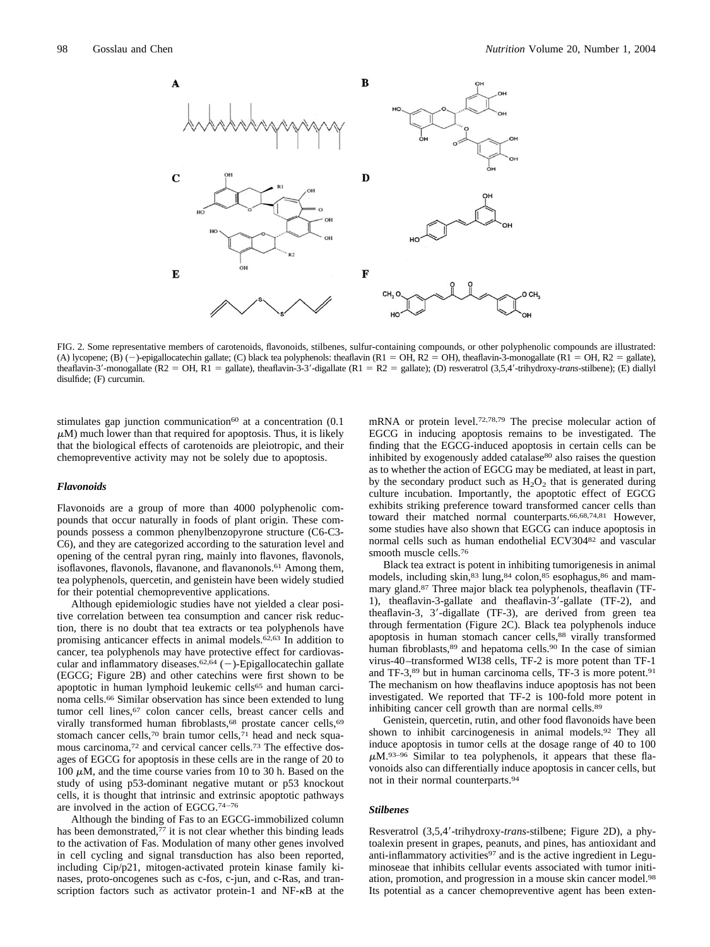<span id="page-3-0"></span>

FIG. 2. Some representative members of carotenoids, flavonoids, stilbenes, sulfur-containing compounds, or other polyphenolic compounds are illustrated: (A) lycopene; (B) (-)-epigallocatechin gallate; (C) black tea polyphenols: theaflavin (R1 = OH, R2 = OH), theaflavin-3-monogallate (R1 = OH, R2 = gallate), theaflavin-3'-monogallate (R2 = OH, R1 = gallate), theaflavin-3-3'-digallate (R1 = R2 = gallate); (D) resveratrol (3,5,4'-trihydroxy-*trans*-stilbene); (E) diallyl disulfide; (F) curcumin.

stimulates gap junction communication<sup>60</sup> at a concentration (0.1)  $\mu$ M) much lower than that required for apoptosis. Thus, it is likely that the biological effects of carotenoids are pleiotropic, and their chemopreventive activity may not be solely due to apoptosis.

#### *Flavonoids*

Flavonoids are a group of more than 4000 polyphenolic compounds that occur naturally in foods of plant origin. These compounds possess a common phenylbenzopyrone structure (C6-C3- C6), and they are categorized according to the saturation level and opening of the central pyran ring, mainly into flavones, flavonols, isoflavones, flavonols, flavanone, and flavanonols.<sup>61</sup> Among them, tea polyphenols, quercetin, and genistein have been widely studied for their potential chemopreventive applications.

Although epidemiologic studies have not yielded a clear positive correlation between tea consumption and cancer risk reduction, there is no doubt that tea extracts or tea polyphenols have promising anticancer effects in animal models[.62,63](#page-5-0) In addition to cancer, tea polyphenols may have protective effect for cardiovascular and inflammatory diseases.<sup>62,64</sup> ( $-$ )-Epigallocatechin gallate (EGCG; Figure 2B) and other catechins were first shown to be apoptotic in human lymphoid leukemic cells<sup>65</sup> and human carcinoma cells[.66](#page-5-0) Similar observation has since been extended to lung tumor cell lines,<sup>67</sup> colon cancer cells, breast cancer cells and virally transformed human fibroblasts,<sup>68</sup> prostate cancer cells,<sup>69</sup> stomach cancer cells,<sup>70</sup> brain tumor cells,<sup>71</sup> head and neck squamous carcinoma[,72](#page-5-0) and cervical cancer cells[.73](#page-5-0) The effective dosages of EGCG for apoptosis in these cells are in the range of 20 to 100  $\mu$ M, and the time course varies from 10 to 30 h. Based on the study of using p53-dominant negative mutant or p53 knockout cells, it is thought that intrinsic and extrinsic apoptotic pathways are involved in the action of EGCG[.74–76](#page-6-0)

Although the binding of Fas to an EGCG-immobilized column has been demonstrated, $\frac{7}{7}$  it is not clear whether this binding leads to the activation of Fas. Modulation of many other genes involved in cell cycling and signal transduction has also been reported, including Cip/p21, mitogen-activated protein kinase family kinases, proto-oncogenes such as c-fos, c-jun, and c-Ras, and transcription factors such as activator protein-1 and  $NF- $\kappa$ B$  at the

mRNA or protein level[.72,78,79](#page-5-0) The precise molecular action of EGCG in inducing apoptosis remains to be investigated. The finding that the EGCG-induced apoptosis in certain cells can be inhibited by exogenously added catalase<sup>80</sup> also raises the question as to whether the action of EGCG may be mediated, at least in part, by the secondary product such as  $H_2O_2$  that is generated during culture incubation. Importantly, the apoptotic effect of EGCG exhibits striking preference toward transformed cancer cells than toward their matched normal counterparts[.66,68,74,81](#page-5-0) However, some studies have also shown that EGCG can induce apoptosis in normal cells such as human endothelial ECV30[482](#page-6-0) and vascular smooth muscle cells[.76](#page-6-0)

Black tea extract is potent in inhibiting tumorigenesis in animal models, including skin, 83 lung, 84 colon, 85 esophagus, 86 and mammary gland[.87](#page-6-0) Three major black tea polyphenols, theaflavin (TF-1), theaflavin-3-gallate and theaflavin-3'-gallate (TF-2), and theaflavin-3, 3--digallate (TF-3), are derived from green tea through fermentation (Figure 2C). Black tea polyphenols induce apoptosis in human stomach cancer cells,<sup>88</sup> virally transformed human fibroblasts,<sup>89</sup> and hepatoma cells.<sup>90</sup> In the case of simian virus-40–transformed WI38 cells, TF-2 is more potent than TF-1 and TF-3,<sup>89</sup> but in human carcinoma cells, TF-3 is more potent.<sup>91</sup> The mechanism on how theaflavins induce apoptosis has not been investigated. We reported that TF-2 is 100-fold more potent in inhibiting cancer cell growth than are normal cells[.89](#page-6-0)

Genistein, quercetin, rutin, and other food flavonoids have been shown to inhibit carcinogenesis in animal models[.92](#page-6-0) They all induce apoptosis in tumor cells at the dosage range of 40 to 100  $\mu$ M.<sup>93–96</sup> Similar to tea polyphenols, it appears that these flavonoids also can differentially induce apoptosis in cancer cells, but not in their normal counterparts[.94](#page-6-0)

#### *Stilbenes*

Resveratrol (3,5,4'-trihydroxy-trans-stilbene; Figure 2D), a phytoalexin present in grapes, peanuts, and pines, has antioxidant and anti-inflammatory activities<sup>97</sup> and is the active ingredient in Leguminoseae that inhibits cellular events associated with tumor initiation, promotion, and progression in a mouse skin cancer model[.98](#page-6-0) Its potential as a cancer chemopreventive agent has been exten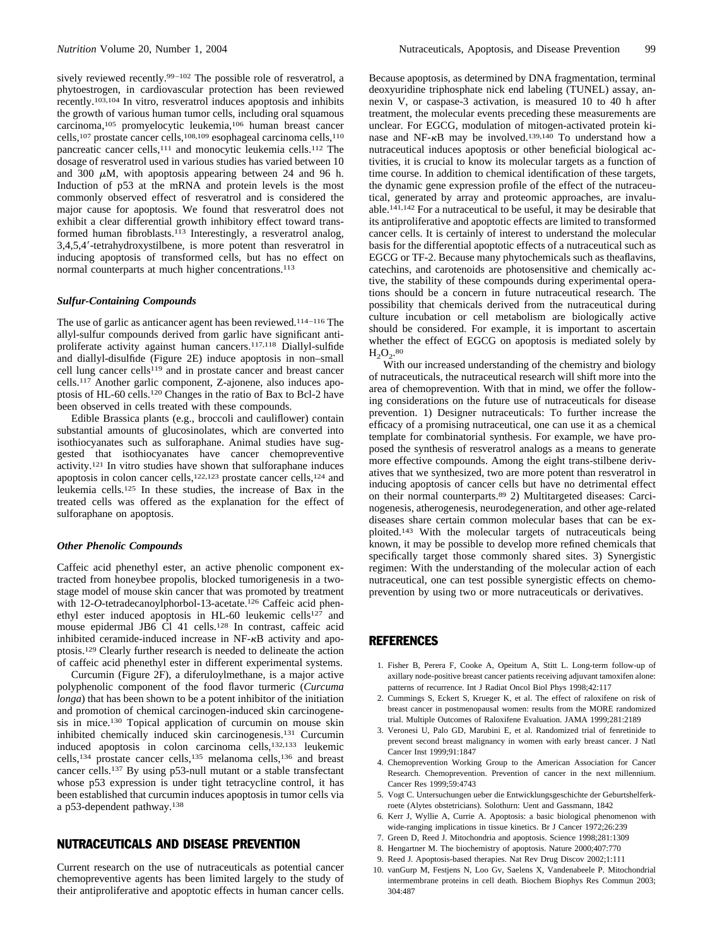<span id="page-4-0"></span>sively reviewed recently.<sup>99–102</sup> The possible role of resveratrol, a phytoestrogen, in cardiovascular protection has been reviewed recently[.103,104](#page-6-0) In vitro, resveratrol induces apoptosis and inhibits the growth of various human tumor cells, including oral squamous carcinoma[,105](#page-6-0) promyelocytic leukemia[,106](#page-6-0) human breast cancer cells[,107](#page-6-0) prostate cancer cells[,108,109](#page-6-0) esophageal carcinoma cells[,110](#page-6-0) pancreatic cancer cells,<sup>111</sup> and monocytic leukemia cells.<sup>112</sup> The dosage of resveratrol used in various studies has varied between 10 and 300  $\mu$ M, with apoptosis appearing between 24 and 96 h. Induction of p53 at the mRNA and protein levels is the most commonly observed effect of resveratrol and is considered the major cause for apoptosis. We found that resveratrol does not exhibit a clear differential growth inhibitory effect toward transformed human fibroblasts[.113](#page-6-0) Interestingly, a resveratrol analog, 3,4,5,4--tetrahydroxystilbene, is more potent than resveratrol in inducing apoptosis of transformed cells, but has no effect on normal counterparts at much higher concentrations.<sup>113</sup>

#### *Sulfur-Containing Compounds*

The use of garlic as anticancer agent has been reviewed[.114–116](#page-6-0) The allyl-sulfur compounds derived from garlic have significant antiproliferate activity against human cancers[.117,118](#page-6-0) Diallyl-sulfide and diallyl-disulfide [\(Figure 2E\)](#page-3-0) induce apoptosis in non–small cell lung cancer cell[s119](#page-6-0) and in prostate cancer and breast cancer cells[.117](#page-6-0) Another garlic component, Z-ajonene, also induces apoptosis of HL-60 cells[.120](#page-6-0) Changes in the ratio of Bax to Bcl-2 have been observed in cells treated with these compounds.

Edible Brassica plants (e.g., broccoli and cauliflower) contain substantial amounts of glucosinolates, which are converted into isothiocyanates such as sulforaphane. Animal studies have suggested that isothiocyanates have cancer chemopreventive activity[.121](#page-6-0) In vitro studies have shown that sulforaphane induces apoptosis in colon cancer cells[,122,123](#page-6-0) prostate cancer cells[,124](#page-6-0) and leukemia cells[.125](#page-6-0) In these studies, the increase of Bax in the treated cells was offered as the explanation for the effect of sulforaphane on apoptosis.

#### *Other Phenolic Compounds*

Caffeic acid phenethyl ester, an active phenolic component extracted from honeybee propolis, blocked tumorigenesis in a twostage model of mouse skin cancer that was promoted by treatment with 12-*O*-tetradecanoylphorbol-13-acetate.<sup>126</sup> Caffeic acid phenethyl ester induced apoptosis in HL-60 leukemic cells<sup>127</sup> and mouse epidermal JB6 Cl 41 cells.<sup>128</sup> In contrast, caffeic acid inhibited ceramide-induced increase in  $NF- $\kappa$ B$  activity and apoptosis[.129](#page-6-0) Clearly further research is needed to delineate the action of caffeic acid phenethyl ester in different experimental systems.

Curcumin [\(Figure 2F\)](#page-3-0), a diferuloylmethane, is a major active polyphenolic component of the food flavor turmeric (*Curcuma longa*) that has been shown to be a potent inhibitor of the initiation and promotion of chemical carcinogen-induced skin carcinogenesis in mice.<sup>130</sup> Topical application of curcumin on mouse skin inhibited chemically induced skin carcinogenesis[.131](#page-7-0) Curcumin induced apoptosis in colon carcinoma cells[,132,133](#page-7-0) leukemic cells[,134](#page-7-0) prostate cancer cells[,135](#page-7-0) melanoma cells[,136](#page-7-0) and breast cancer cells[.137](#page-7-0) By using p53-null mutant or a stable transfectant whose p53 expression is under tight tetracycline control, it has been established that curcumin induces apoptosis in tumor cells via a p53-dependent pathway[.138](#page-7-0)

## NUTRACEUTICALS AND DISEASE PREVENTION

Current research on the use of nutraceuticals as potential cancer chemopreventive agents has been limited largely to the study of their antiproliferative and apoptotic effects in human cancer cells.

Because apoptosis, as determined by DNA fragmentation, terminal deoxyuridine triphosphate nick end labeling (TUNEL) assay, annexin V, or caspase-3 activation, is measured 10 to 40 h after treatment, the molecular events preceding these measurements are unclear. For EGCG, modulation of mitogen-activated protein kinase and NF- $\kappa$ B may be involved.<sup>139,140</sup> To understand how a nutraceutical induces apoptosis or other beneficial biological activities, it is crucial to know its molecular targets as a function of time course. In addition to chemical identification of these targets, the dynamic gene expression profile of the effect of the nutraceutical, generated by array and proteomic approaches, are invaluable[.141,142](#page-7-0) For a nutraceutical to be useful, it may be desirable that its antiproliferative and apoptotic effects are limited to transformed cancer cells. It is certainly of interest to understand the molecular basis for the differential apoptotic effects of a nutraceutical such as EGCG or TF-2. Because many phytochemicals such as theaflavins, catechins, and carotenoids are photosensitive and chemically active, the stability of these compounds during experimental operations should be a concern in future nutraceutical research. The possibility that chemicals derived from the nutraceutical during culture incubation or cell metabolism are biologically active should be considered. For example, it is important to ascertain whether the effect of EGCG on apoptosis is mediated solely by  $H_2O_2.^{80}$  $H_2O_2.^{80}$  $H_2O_2.^{80}$ 

With our increased understanding of the chemistry and biology of nutraceuticals, the nutraceutical research will shift more into the area of chemoprevention. With that in mind, we offer the following considerations on the future use of nutraceuticals for disease prevention. 1) Designer nutraceuticals: To further increase the efficacy of a promising nutraceutical, one can use it as a chemical template for combinatorial synthesis. For example, we have proposed the synthesis of resveratrol analogs as a means to generate more effective compounds. Among the eight trans-stilbene derivatives that we synthesized, two are more potent than resveratrol in inducing apoptosis of cancer cells but have no detrimental effect on their normal counterparts[.89](#page-6-0) 2) Multitargeted diseases: Carcinogenesis, atherogenesis, neurodegeneration, and other age-related diseases share certain common molecular bases that can be exploited[.143](#page-7-0) With the molecular targets of nutraceuticals being known, it may be possible to develop more refined chemicals that specifically target those commonly shared sites. 3) Synergistic regimen: With the understanding of the molecular action of each nutraceutical, one can test possible synergistic effects on chemoprevention by using two or more nutraceuticals or derivatives.

## REFERENCES

- 1. Fisher B, Perera F, Cooke A, Opeitum A, Stitt L. Long-term follow-up of axillary node-positive breast cancer patients receiving adjuvant tamoxifen alone: patterns of recurrence. Int J Radiat Oncol Biol Phys 1998;42:117
- 2. Cummings S, Eckert S, Krueger K, et al. The effect of raloxifene on risk of breast cancer in postmenopausal women: results from the MORE randomized trial. Multiple Outcomes of Raloxifene Evaluation. JAMA 1999;281:2189
- 3. Veronesi U, Palo GD, Marubini E, et al. Randomized trial of fenretinide to prevent second breast malignancy in women with early breast cancer. J Natl Cancer Inst 1999;91:1847
- 4. Chemoprevention Working Group to the American Association for Cancer Research. Chemoprevention. Prevention of cancer in the next millennium. Cancer Res 1999;59:4743
- 5. Vogt C. Untersuchungen ueber die Entwicklungsgeschichte der Geburtshelferkroete (Alytes obstetricians). Solothurn: Uent and Gassmann, 1842
- 6. Kerr J, Wyllie A, Currie A. Apoptosis: a basic biological phenomenon with wide-ranging implications in tissue kinetics. Br J Cancer 1972;26:239
- 7. Green D, Reed J. Mitochondria and apoptosis. Science 1998;281:1309
- 8. Hengartner M. The biochemistry of apoptosis. Nature 2000;407:770
- 9. Reed J. Apoptosis-based therapies. Nat Rev Drug Discov 2002;1:111
- 10. vanGurp M, Festjens N, Loo Gv, Saelens X, Vandenabeele P. Mitochondrial intermembrane proteins in cell death. Biochem Biophys Res Commun 2003; 304:487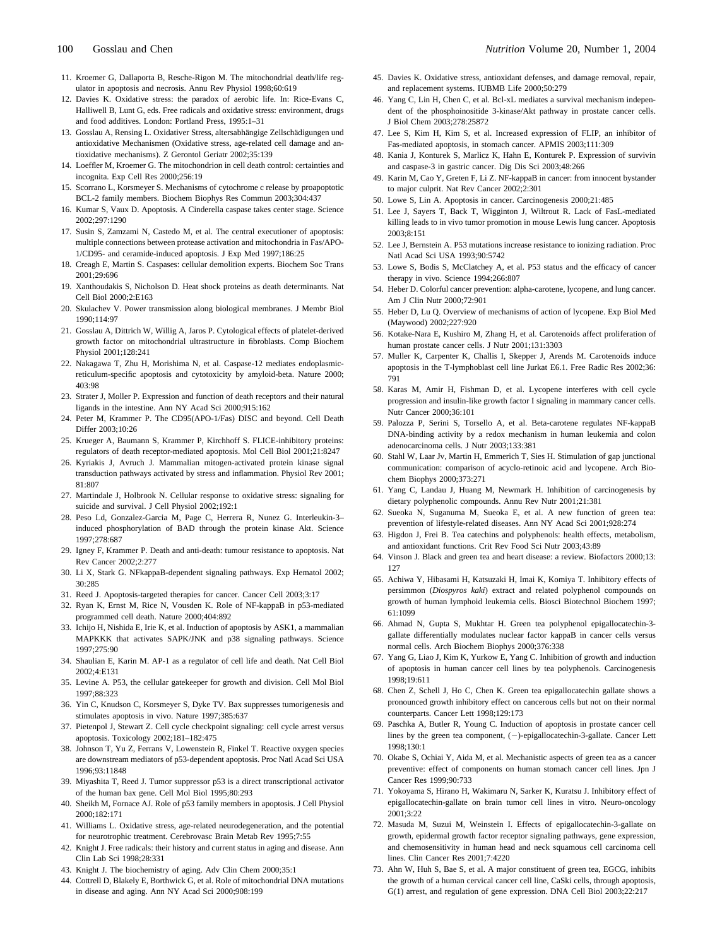- <span id="page-5-0"></span>11. Kroemer G, Dallaporta B, Resche-Rigon M. The mitochondrial death/life regulator in apoptosis and necrosis. Annu Rev Physiol 1998;60:619
- 12. Davies K. Oxidative stress: the paradox of aerobic life. In: Rice-Evans C, Halliwell B, Lunt G, eds. Free radicals and oxidative stress: environment, drugs and food additives. London: Portland Press, 1995:1–31
- 13. Gosslau A, Rensing L. Oxidativer Stress, altersabhängige Zellschädigungen und antioxidative Mechanismen (Oxidative stress, age-related cell damage and antioxidative mechanisms). Z Gerontol Geriatr 2002;35:139
- 14. Loeffler M, Kroemer G. The mitochondrion in cell death control: certainties and incognita. Exp Cell Res 2000;256:19
- 15. Scorrano L, Korsmeyer S. Mechanisms of cytochrome c release by proapoptotic BCL-2 family members. Biochem Biophys Res Commun 2003;304:437
- 16. Kumar S, Vaux D. Apoptosis. A Cinderella caspase takes center stage. Science 2002;297:1290
- 17. Susin S, Zamzami N, Castedo M, et al. The central executioner of apoptosis: multiple connections between protease activation and mitochondria in Fas/APO-1/CD95- and ceramide-induced apoptosis. J Exp Med 1997;186:25
- 18. Creagh E, Martin S. Caspases: cellular demolition experts. Biochem Soc Trans 2001;29:696
- 19. Xanthoudakis S, Nicholson D. Heat shock proteins as death determinants. Nat Cell Biol 2000;2:E163
- 20. Skulachev V. Power transmission along biological membranes. J Membr Biol 1990;114:97
- 21. Gosslau A, Dittrich W, Willig A, Jaros P. Cytological effects of platelet-derived growth factor on mitochondrial ultrastructure in fibroblasts. Comp Biochem Physiol 2001;128:241
- 22. Nakagawa T, Zhu H, Morishima N, et al. Caspase-12 mediates endoplasmicreticulum-specific apoptosis and cytotoxicity by amyloid-beta. Nature 2000; 403:98
- 23. Strater J, Moller P. Expression and function of death receptors and their natural ligands in the intestine. Ann NY Acad Sci 2000;915:162
- 24. Peter M, Krammer P. The CD95(APO-1/Fas) DISC and beyond. Cell Death Differ 2003;10:26
- 25. Krueger A, Baumann S, Krammer P, Kirchhoff S. FLICE-inhibitory proteins: regulators of death receptor-mediated apoptosis. Mol Cell Biol 2001;21:8247
- 26. Kyriakis J, Avruch J. Mammalian mitogen-activated protein kinase signal transduction pathways activated by stress and inflammation. Physiol Rev 2001; 81:807
- 27. Martindale J, Holbrook N. Cellular response to oxidative stress: signaling for suicide and survival. J Cell Physiol 2002;192:1
- 28. Peso Ld, Gonzalez-Garcia M, Page C, Herrera R, Nunez G. Interleukin-3– induced phosphorylation of BAD through the protein kinase Akt. Science 1997;278:687
- 29. Igney F, Krammer P. Death and anti-death: tumour resistance to apoptosis. Nat Rev Cancer 2002;2:277
- 30. Li X, Stark G. NFkappaB-dependent signaling pathways. Exp Hematol 2002; 30:285
- 31. Reed J. Apoptosis-targeted therapies for cancer. Cancer Cell 2003;3:17
- 32. Ryan K, Ernst M, Rice N, Vousden K. Role of NF-kappaB in p53-mediated programmed cell death. Nature 2000;404:892
- 33. Ichijo H, Nishida E, Irie K, et al. Induction of apoptosis by ASK1, a mammalian MAPKKK that activates SAPK/JNK and p38 signaling pathways. Science 1997;275:90
- 34. Shaulian E, Karin M. AP-1 as a regulator of cell life and death. Nat Cell Biol 2002;4:E131
- 35. Levine A. P53, the cellular gatekeeper for growth and division. Cell Mol Biol 1997;88:323
- 36. Yin C, Knudson C, Korsmeyer S, Dyke TV. Bax suppresses tumorigenesis and stimulates apoptosis in vivo. Nature 1997;385:637
- 37. Pietenpol J, Stewart Z. Cell cycle checkpoint signaling: cell cycle arrest versus apoptosis. Toxicology 2002;181–182:475
- 38. Johnson T, Yu Z, Ferrans V, Lowenstein R, Finkel T. Reactive oxygen species are downstream mediators of p53-dependent apoptosis. Proc Natl Acad Sci USA 1996;93:11848
- 39. Miyashita T, Reed J. Tumor suppressor p53 is a direct transcriptional activator of the human bax gene. Cell Mol Biol 1995;80:293
- 40. Sheikh M, Fornace AJ. Role of p53 family members in apoptosis. J Cell Physiol 2000;182:171
- 41. Williams L. Oxidative stress, age-related neurodegeneration, and the potential for neurotrophic treatment. Cerebrovasc Brain Metab Rev 1995;7:55
- 42. Knight J. Free radicals: their history and current status in aging and disease. Ann Clin Lab Sci 1998;28:331
- 43. Knight J. The biochemistry of aging. Adv Clin Chem 2000;35:1
- 44. Cottrell D, Blakely E, Borthwick G, et al. Role of mitochondrial DNA mutations in disease and aging. Ann NY Acad Sci 2000;908:199
- 45. Davies K. Oxidative stress, antioxidant defenses, and damage removal, repair, and replacement systems. IUBMB Life 2000;50:279
- 46. Yang C, Lin H, Chen C, et al. Bcl-xL mediates a survival mechanism independent of the phosphoinositide 3-kinase/Akt pathway in prostate cancer cells. J Biol Chem 2003;278:25872
- 47. Lee S, Kim H, Kim S, et al. Increased expression of FLIP, an inhibitor of Fas-mediated apoptosis, in stomach cancer. APMIS 2003;111:309
- 48. Kania J, Konturek S, Marlicz K, Hahn E, Konturek P. Expression of survivin and caspase-3 in gastric cancer. Dig Dis Sci 2003;48:266
- 49. Karin M, Cao Y, Greten F, Li Z. NF-kappaB in cancer: from innocent bystander to major culprit. Nat Rev Cancer 2002;2:301
- 50. Lowe S, Lin A. Apoptosis in cancer. Carcinogenesis 2000;21:485
- 51. Lee J, Sayers T, Back T, Wigginton J, Wiltrout R. Lack of FasL-mediated killing leads to in vivo tumor promotion in mouse Lewis lung cancer. Apoptosis 2003;8:151
- 52. Lee J, Bernstein A. P53 mutations increase resistance to ionizing radiation. Proc Natl Acad Sci USA 1993;90:5742
- 53. Lowe S, Bodis S, McClatchey A, et al. P53 status and the efficacy of cancer therapy in vivo. Science 1994;266:807
- 54. Heber D. Colorful cancer prevention: alpha-carotene, lycopene, and lung cancer. Am J Clin Nutr 2000;72:901
- 55. Heber D, Lu Q. Overview of mechanisms of action of lycopene. Exp Biol Med (Maywood) 2002;227:920
- 56. Kotake-Nara E, Kushiro M, Zhang H, et al. Carotenoids affect proliferation of human prostate cancer cells. J Nutr 2001;131:3303
- 57. Muller K, Carpenter K, Challis I, Skepper J, Arends M. Carotenoids induce apoptosis in the T-lymphoblast cell line Jurkat E6.1. Free Radic Res 2002;36: 791
- 58. Karas M, Amir H, Fishman D, et al. Lycopene interferes with cell cycle progression and insulin-like growth factor I signaling in mammary cancer cells. Nutr Cancer 2000;36:101
- 59. Palozza P, Serini S, Torsello A, et al. Beta-carotene regulates NF-kappaB DNA-binding activity by a redox mechanism in human leukemia and colon adenocarcinoma cells. J Nutr 2003;133:381
- 60. Stahl W, Laar Jv, Martin H, Emmerich T, Sies H. Stimulation of gap junctional communication: comparison of acyclo-retinoic acid and lycopene. Arch Biochem Biophys 2000;373:271
- 61. Yang C, Landau J, Huang M, Newmark H. Inhibition of carcinogenesis by dietary polyphenolic compounds. Annu Rev Nutr 2001;21:381
- 62. Sueoka N, Suganuma M, Sueoka E, et al. A new function of green tea: prevention of lifestyle-related diseases. Ann NY Acad Sci 2001;928:274
- 63. Higdon J, Frei B. Tea catechins and polyphenols: health effects, metabolism, and antioxidant functions. Crit Rev Food Sci Nutr 2003;43:89
- 64. Vinson J. Black and green tea and heart disease: a review. Biofactors 2000;13: 127
- 65. Achiwa Y, Hibasami H, Katsuzaki H, Imai K, Komiya T. Inhibitory effects of persimmon (*Diospyros kaki*) extract and related polyphenol compounds on growth of human lymphoid leukemia cells. Biosci Biotechnol Biochem 1997; 61:1099
- 66. Ahmad N, Gupta S, Mukhtar H. Green tea polyphenol epigallocatechin-3 gallate differentially modulates nuclear factor kappaB in cancer cells versus normal cells. Arch Biochem Biophys 2000;376:338
- 67. Yang G, Liao J, Kim K, Yurkow E, Yang C. Inhibition of growth and induction of apoptosis in human cancer cell lines by tea polyphenols. Carcinogenesis 1998;19:611
- 68. Chen Z, Schell J, Ho C, Chen K. Green tea epigallocatechin gallate shows a pronounced growth inhibitory effect on cancerous cells but not on their normal counterparts. Cancer Lett 1998;129:173
- 69. Paschka A, Butler R, Young C. Induction of apoptosis in prostate cancer cell lines by the green tea component,  $(-)$ -epigallocatechin-3-gallate. Cancer Lett 1998;130:1
- 70. Okabe S, Ochiai Y, Aida M, et al. Mechanistic aspects of green tea as a cancer preventive: effect of components on human stomach cancer cell lines. Jpn J Cancer Res 1999;90:733
- 71. Yokoyama S, Hirano H, Wakimaru N, Sarker K, Kuratsu J. Inhibitory effect of epigallocatechin-gallate on brain tumor cell lines in vitro. Neuro-oncology 2001;3:22
- 72. Masuda M, Suzui M, Weinstein I. Effects of epigallocatechin-3-gallate on growth, epidermal growth factor receptor signaling pathways, gene expression, and chemosensitivity in human head and neck squamous cell carcinoma cell lines. Clin Cancer Res 2001;7:4220
- 73. Ahn W, Huh S, Bae S, et al. A major constituent of green tea, EGCG, inhibits the growth of a human cervical cancer cell line, CaSki cells, through apoptosis, G(1) arrest, and regulation of gene expression. DNA Cell Biol 2003;22:217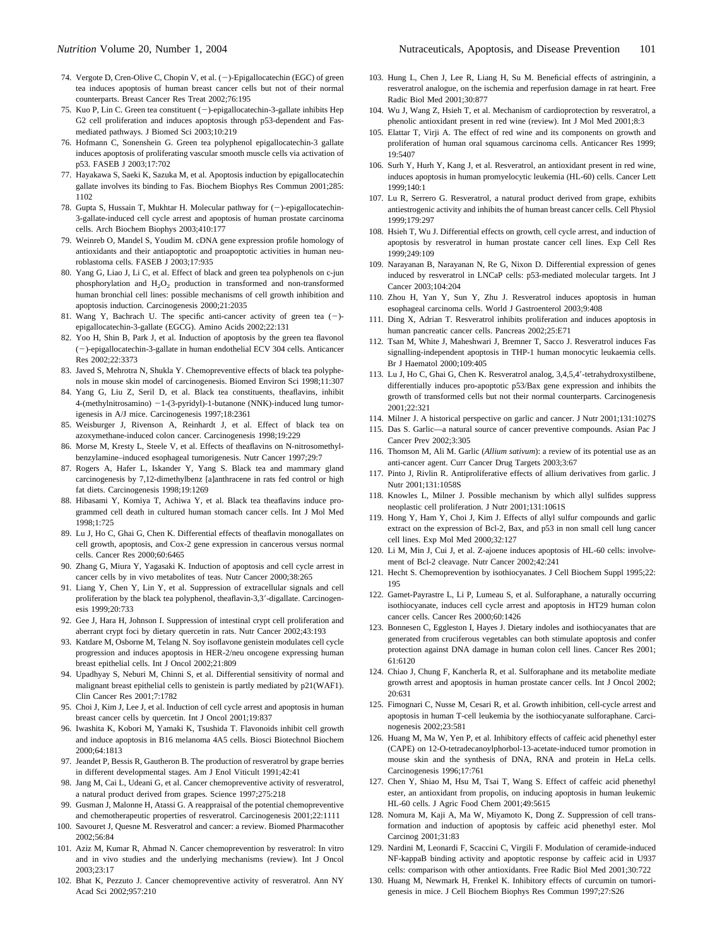- <span id="page-6-0"></span>74. Vergote D, Cren-Olive C, Chopin V, et al. (-)-Epigallocatechin (EGC) of green tea induces apoptosis of human breast cancer cells but not of their normal counterparts. Breast Cancer Res Treat 2002;76:195
- 75. Kuo P, Lin C. Green tea constituent (-)-epigallocatechin-3-gallate inhibits Hep G2 cell proliferation and induces apoptosis through p53-dependent and Fasmediated pathways. J Biomed Sci 2003;10:219
- 76. Hofmann C, Sonenshein G. Green tea polyphenol epigallocatechin-3 gallate induces apoptosis of proliferating vascular smooth muscle cells via activation of p53. FASEB J 2003;17:702
- 77. Hayakawa S, Saeki K, Sazuka M, et al. Apoptosis induction by epigallocatechin gallate involves its binding to Fas. Biochem Biophys Res Commun 2001;285: 1102
- 78. Gupta S, Hussain T, Mukhtar H. Molecular pathway for  $(-)$ -epigallocatechin-3-gallate-induced cell cycle arrest and apoptosis of human prostate carcinoma cells. Arch Biochem Biophys 2003;410:177
- 79. Weinreb O, Mandel S, Youdim M. cDNA gene expression profile homology of antioxidants and their antiapoptotic and proapoptotic activities in human neuroblastoma cells. FASEB J 2003;17:935
- 80. Yang G, Liao J, Li C, et al. Effect of black and green tea polyphenols on c-jun phosphorylation and  $H_2O_2$  production in transformed and non-transformed human bronchial cell lines: possible mechanisms of cell growth inhibition and apoptosis induction. Carcinogenesis 2000;21:2035
- 81. Wang Y, Bachrach U. The specific anti-cancer activity of green tea  $(-)$ epigallocatechin-3-gallate (EGCG). Amino Acids 2002;22:131
- 82. Yoo H, Shin B, Park J, et al. Induction of apoptosis by the green tea flavonol (-)-epigallocatechin-3-gallate in human endothelial ECV 304 cells. Anticancer Res 2002;22:3373
- 83. Javed S, Mehrotra N, Shukla Y. Chemopreventive effects of black tea polyphenols in mouse skin model of carcinogenesis. Biomed Environ Sci 1998;11:307
- 84. Yang G, Liu Z, Seril D, et al. Black tea constituents, theaflavins, inhibit 4-(methylnitrosamino)  $-1$ -(3-pyridyl)-1-butanone (NNK)-induced lung tumorigenesis in A/J mice. Carcinogenesis 1997;18:2361
- 85. Weisburger J, Rivenson A, Reinhardt J, et al. Effect of black tea on azoxymethane-induced colon cancer. Carcinogenesis 1998;19:229
- 86. Morse M, Kresty L, Steele V, et al. Effects of theaflavins on N-nitrosomethylbenzylamine–induced esophageal tumorigenesis. Nutr Cancer 1997;29:7
- 87. Rogers A, Hafer L, Iskander Y, Yang S. Black tea and mammary gland carcinogenesis by 7,12-dimethylbenz [a]anthracene in rats fed control or high fat diets. Carcinogenesis 1998;19:1269
- 88. Hibasami Y, Komiya T, Achiwa Y, et al. Black tea theaflavins induce programmed cell death in cultured human stomach cancer cells. Int J Mol Med 1998;1:725
- 89. Lu J, Ho C, Ghai G, Chen K. Differential effects of theaflavin monogallates on cell growth, apoptosis, and Cox-2 gene expression in cancerous versus normal cells. Cancer Res 2000;60:6465
- 90. Zhang G, Miura Y, Yagasaki K. Induction of apoptosis and cell cycle arrest in cancer cells by in vivo metabolites of teas. Nutr Cancer 2000;38:265
- 91. Liang Y, Chen Y, Lin Y, et al. Suppression of extracellular signals and cell proliferation by the black tea polyphenol, theaflavin-3,3'-digallate. Carcinogenesis 1999;20:733
- 92. Gee J, Hara H, Johnson I. Suppression of intestinal crypt cell proliferation and aberrant crypt foci by dietary quercetin in rats. Nutr Cancer 2002;43:193
- 93. Katdare M, Osborne M, Telang N. Soy isoflavone genistein modulates cell cycle progression and induces apoptosis in HER-2/neu oncogene expressing human breast epithelial cells. Int J Oncol 2002;21:809
- 94. Upadhyay S, Neburi M, Chinni S, et al. Differential sensitivity of normal and malignant breast epithelial cells to genistein is partly mediated by p21(WAF1). Clin Cancer Res 2001;7:1782
- 95. Choi J, Kim J, Lee J, et al. Induction of cell cycle arrest and apoptosis in human breast cancer cells by quercetin. Int J Oncol 2001;19:837
- 96. Iwashita K, Kobori M, Yamaki K, Tsushida T. Flavonoids inhibit cell growth and induce apoptosis in B16 melanoma 4A5 cells. Biosci Biotechnol Biochem 2000;64:1813
- 97. Jeandet P, Bessis R, Gautheron B. The production of resveratrol by grape berries in different developmental stages. Am J Enol Viticult 1991;42:41
- 98. Jang M, Cai L, Udeani G, et al. Cancer chemopreventive activity of resveratrol, a natural product derived from grapes. Science 1997;275:218
- 99. Gusman J, Malonne H, Atassi G. A reappraisal of the potential chemopreventive and chemotherapeutic properties of resveratrol. Carcinogenesis 2001;22:1111
- 100. Savouret J, Quesne M. Resveratrol and cancer: a review. Biomed Pharmacother 2002;56:84
- 101. Aziz M, Kumar R, Ahmad N. Cancer chemoprevention by resveratrol: In vitro and in vivo studies and the underlying mechanisms (review). Int J Oncol 2003;23:17
- 102. Bhat K, Pezzuto J. Cancer chemopreventive activity of resveratrol. Ann NY Acad Sci 2002;957:210
- 103. Hung L, Chen J, Lee R, Liang H, Su M. Beneficial effects of astringinin, a resveratrol analogue, on the ischemia and reperfusion damage in rat heart. Free Radic Biol Med 2001;30:877
- 104. Wu J, Wang Z, Hsieh T, et al. Mechanism of cardioprotection by resveratrol, a phenolic antioxidant present in red wine (review). Int J Mol Med 2001;8:3
- 105. Elattar T, Virji A. The effect of red wine and its components on growth and proliferation of human oral squamous carcinoma cells. Anticancer Res 1999; 19:5407
- 106. Surh Y, Hurh Y, Kang J, et al. Resveratrol, an antioxidant present in red wine, induces apoptosis in human promyelocytic leukemia (HL-60) cells. Cancer Lett 1999;140:1
- 107. Lu R, Serrero G. Resveratrol, a natural product derived from grape, exhibits antiestrogenic activity and inhibits the of human breast cancer cells. Cell Physiol 1999;179:297
- 108. Hsieh T, Wu J. Differential effects on growth, cell cycle arrest, and induction of apoptosis by resveratrol in human prostate cancer cell lines. Exp Cell Res 1999;249:109
- 109. Narayanan B, Narayanan N, Re G, Nixon D. Differential expression of genes induced by resveratrol in LNCaP cells: p53-mediated molecular targets. Int J Cancer 2003;104:204
- 110. Zhou H, Yan Y, Sun Y, Zhu J. Resveratrol induces apoptosis in human esophageal carcinoma cells. World J Gastroenterol 2003;9:408
- 111. Ding X, Adrian T. Resveratrol inhibits proliferation and induces apoptosis in human pancreatic cancer cells. Pancreas 2002;25:E71
- 112. Tsan M, White J, Maheshwari J, Bremner T, Sacco J. Resveratrol induces Fas signalling-independent apoptosis in THP-1 human monocytic leukaemia cells. Br J Haematol 2000;109:405
- 113. Lu J, Ho C, Ghai G, Chen K. Resveratrol analog, 3,4,5,4--tetrahydroxystilbene, differentially induces pro-apoptotic p53/Bax gene expression and inhibits the growth of transformed cells but not their normal counterparts. Carcinogenesis 2001;22:321
- 114. Milner J. A historical perspective on garlic and cancer. J Nutr 2001;131:1027S
- 115. Das S. Garlic—a natural source of cancer preventive compounds. Asian Pac J Cancer Prev 2002;3:305
- 116. Thomson M, Ali M. Garlic (*Allium sativum*): a review of its potential use as an anti-cancer agent. Curr Cancer Drug Targets 2003;3:67
- 117. Pinto J, Rivlin R. Antiproliferative effects of allium derivatives from garlic. J Nutr 2001;131:1058S
- 118. Knowles L, Milner J. Possible mechanism by which allyl sulfides suppress neoplastic cell proliferation. J Nutr 2001;131:1061S
- 119. Hong Y, Ham Y, Choi J, Kim J. Effects of allyl sulfur compounds and garlic extract on the expression of Bcl-2, Bax, and p53 in non small cell lung cancer cell lines. Exp Mol Med 2000;32:127
- 120. Li M, Min J, Cui J, et al. Z-ajoene induces apoptosis of HL-60 cells: involvement of Bcl-2 cleavage. Nutr Cancer 2002;42:241
- 121. Hecht S. Chemoprevention by isothiocyanates. J Cell Biochem Suppl 1995;22: 195
- 122. Gamet-Payrastre L, Li P, Lumeau S, et al. Sulforaphane, a naturally occurring isothiocyanate, induces cell cycle arrest and apoptosis in HT29 human colon cancer cells. Cancer Res 2000;60:1426
- 123. Bonnesen C, Eggleston I, Hayes J. Dietary indoles and isothiocyanates that are generated from cruciferous vegetables can both stimulate apoptosis and confer protection against DNA damage in human colon cell lines. Cancer Res 2001; 61:6120
- 124. Chiao J, Chung F, Kancherla R, et al. Sulforaphane and its metabolite mediate growth arrest and apoptosis in human prostate cancer cells. Int J Oncol 2002; 20:631
- 125. Fimognari C, Nusse M, Cesari R, et al. Growth inhibition, cell-cycle arrest and apoptosis in human T-cell leukemia by the isothiocyanate sulforaphane. Carcinogenesis 2002;23:581
- 126. Huang M, Ma W, Yen P, et al. Inhibitory effects of caffeic acid phenethyl ester (CAPE) on 12-O-tetradecanoylphorbol-13-acetate-induced tumor promotion in mouse skin and the synthesis of DNA, RNA and protein in HeLa cells. Carcinogenesis 1996;17:761
- 127. Chen Y, Shiao M, Hsu M, Tsai T, Wang S. Effect of caffeic acid phenethyl ester, an antioxidant from propolis, on inducing apoptosis in human leukemic HL-60 cells. J Agric Food Chem 2001;49:5615
- 128. Nomura M, Kaji A, Ma W, Miyamoto K, Dong Z. Suppression of cell transformation and induction of apoptosis by caffeic acid phenethyl ester. Mol Carcinog 2001;31:83
- 129. Nardini M, Leonardi F, Scaccini C, Virgili F. Modulation of ceramide-induced NF-kappaB binding activity and apoptotic response by caffeic acid in U937 cells: comparison with other antioxidants. Free Radic Biol Med 2001;30:722
- 130. Huang M, Newmark H, Frenkel K. Inhibitory effects of curcumin on tumorigenesis in mice. J Cell Biochem Biophys Res Commun 1997;27:S26